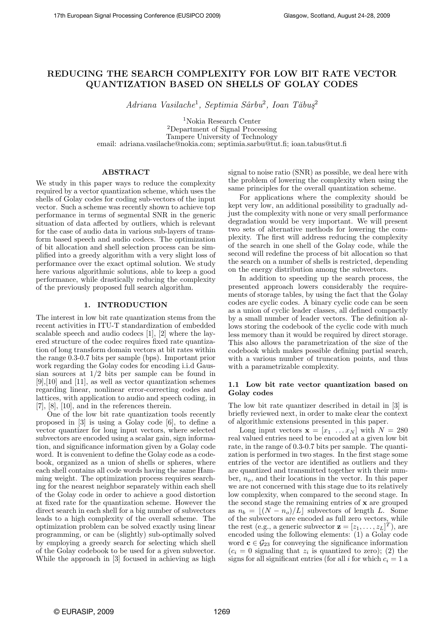# REDUCING THE SEARCH COMPLEXITY FOR LOW BIT RATE VECTOR QUANTIZATION BASED ON SHELLS OF GOLAY CODES

 $Adriana\ Vasilache<sup>1</sup>, Septimia Sârbu<sup>2</sup>, Ioan Tăbuş<sup>2</sup>$ 

<sup>1</sup>Nokia Research Center <sup>2</sup>Department of Signal Processing Tampere University of Technology email: adriana.vasilache@nokia.com; septimia.sarbu@tut.fi; ioan.tabus@tut.fi

# ABSTRACT

We study in this paper ways to reduce the complexity required by a vector quantization scheme, which uses the shells of Golay codes for coding sub-vectors of the input vector. Such a scheme was recently shown to achieve top performance in terms of segmental SNR in the generic situation of data affected by outliers, which is relevant for the case of audio data in various sub-layers of transform based speech and audio codecs. The optimization of bit allocation and shell selection process can be simplified into a greedy algorithm with a very slight loss of performance over the exact optimal solution. We study here various algorithmic solutions, able to keep a good performance, while drastically reducing the complexity of the previously proposed full search algorithm.

# 1. INTRODUCTION

The interest in low bit rate quantization stems from the recent activities in ITU-T standardization of embedded scalable speech and audio codecs [1], [2] where the layered structure of the codec requires fixed rate quantization of long transform domain vectors at bit rates within the range 0.3-0.7 bits per sample (bps). Important prior work regarding the Golay codes for encoding i.i.d Gaussian sources at  $1/2$  bits per sample can be found in [9],[10] and [11], as well as vector quantization schemes regarding linear, nonlinear error-correcting codes and lattices, with application to audio and speech coding, in [7], [8], [10], and in the references therein.

One of the low bit rate quantization tools recently proposed in [3] is using a Golay code [6], to define a vector quantizer for long input vectors, where selected subvectors are encoded using a scalar gain, sign information, and significance information given by a Golay code word. It is convenient to define the Golay code as a codebook, organized as a union of shells or spheres, where each shell contains all code words having the same Hamming weight. The optimization process requires searching for the nearest neighbor separately within each shell of the Golay code in order to achieve a good distortion at fixed rate for the quantization scheme. However the direct search in each shell for a big number of subvectors leads to a high complexity of the overall scheme. The optimization problem can be solved exactly using linear programming, or can be (slightly) sub-optimally solved by employing a greedy search for selecting which shell of the Golay codebook to be used for a given subvector. While the approach in [3] focused in achieving as high signal to noise ratio (SNR) as possible, we deal here with the problem of lowering the complexity when using the same principles for the overall quantization scheme.

For applications where the complexity should be kept very low, an additional possibility to gradually adjust the complexity with none or very small performance degradation would be very important. We will present two sets of alternative methods for lowering the complexity. The first will address reducing the complexity of the search in one shell of the Golay code, while the second will redefine the process of bit allocation so that the search on a number of shells is restricted, depending on the energy distribution among the subvectors.

In addition to speeding up the search process, the presented approach lowers considerably the requirements of storage tables, by using the fact that the Golay codes are cyclic codes. A binary cyclic code can be seen as a union of cyclic leader classes, all defined compactly by a small number of leader vectors. The definition allows storing the codebook of the cyclic code with much less memory than it would be required by direct storage. This also allows the parametrization of the size of the codebook which makes possible defining partial search, with a various number of truncation points, and thus with a parametrizable complexity.

# 1.1 Low bit rate vector quantization based on Golay codes

The low bit rate quantizer described in detail in [3] is briefly reviewed next, in order to make clear the context of algorithmic extensions presented in this paper.

Long input vectors  $\mathbf{x} = [x_1 \dots x_N]$  with  $N = 280$ real valued entries need to be encoded at a given low bit rate, in the range of 0.3-0.7 bits per sample. The quantization is performed in two stages. In the first stage some entries of the vector are identified as outliers and they are quantized and transmitted together with their number,  $n<sub>o</sub>$ , and their locations in the vector. In this paper we are not concerned with this stage due to its relatively low complexity, when compared to the second stage. In the second stage the remaining entries of x are grouped as  $n_b = \lfloor (N - n_o)/L \rfloor$  subvectors of length L. Some of the subvectors are encoded as full zero vectors, while the rest (e.g., a generic subvector  $\mathbf{z} = [z_1, \dots, z_L]^T$ ), are encoded using the following elements: (1) a Golay code word  $\mathbf{c} \in \mathcal{G}_{23}$  for conveying the significance information  $(c_i = 0$  signaling that  $z_i$  is quantized to zero); (2) the signs for all significant entries (for all i for which  $c_i = 1$  a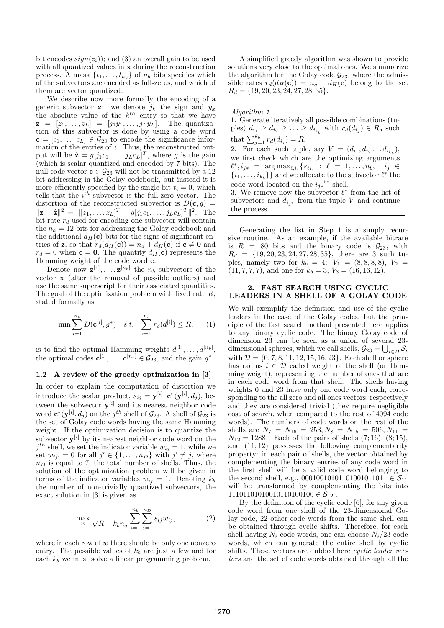bit encodes  $sign(z_i)$ ; and (3) an overall gain to be used with all quantized values in **x** during the reconstruction process. A mask  $\{t_1, \ldots, t_{n_b}\}$  of  $n_b$  bits specifies which of the subvectors are encoded as full-zeros, and which of them are vector quantized.

We describe now more formally the encoding of a generic subvector **z**: we denote  $j_k$  the sign and  $y_k$ the absolute value of the  $k^{th}$  entry so that we have  $\mathbf{z} = [z_1, \ldots, z_L] = [j_1y_1, \ldots, j_Ly_L].$  The quantization of this subvector is done by using a code word  $c = [c_1, \ldots, c_L] \in \mathcal{G}_{23}$  to encode the significance information of the entries of z. Thus, the reconstructed output will be  $\hat{\mathbf{z}} = g[j_1c_1,\ldots,j_Lc_L]^T$ , where g is the gain (which is scalar quantized and encoded by 7 bits). The null code vector  $\mathbf{c} \in \mathcal{G}_{23}$  will not be transmitted by a  $12$ bit addressing in the Golay codebook, but instead it is more efficiently specified by the single bit  $t_i = 0$ , which tells that the  $i^{th}$  subvector is the full-zero vector. The distortion of the reconstructed subvector is  $D(c, g) =$  $||\mathbf{z} - \hat{\mathbf{z}}||^2 = ||[z_1, \dots, z_L]^T - g[j_1c_1, \dots, j_Lc_L]^T||^2$ . The bit rate  $r_d$  used for encoding one subvector will contain the  $n_a = 12$  bits for addressing the Golay codebook and the additional  $d_H(c)$  bits for the signs of significant entries of **z**, so that  $r_d(d_H(c)) = n_a + d_H(c)$  if  $c \neq 0$  and  $r_d = 0$  when  $\mathbf{c} = \mathbf{0}$ . The quantity  $d_H(\mathbf{c})$  represents the Hamming weight of the code word c.

Denote now  $\mathbf{z}^{[1]}, \ldots, \mathbf{z}^{[n_b]}$  the  $n_b$  subvectors of the vector x (after the removal of possible outliers) and use the same superscript for their associated quantities. The goal of the optimization problem with fixed rate R, stated formally as

$$
\min \sum_{i=1}^{n_b} D(\mathbf{c}^{[i]}, g^*) \quad s.t. \quad \sum_{i=1}^{n_b} r_d(d^{[i]}) \le R, \qquad (1)
$$

is to find the optimal Hamming weights  $d^{[1]}, \ldots, d^{[n_b]}$ , the optimal codes  $\mathbf{c}^{[1]}, \ldots, \mathbf{c}^{[n_b]} \in \mathcal{G}_{23}$ , and the gain  $g^*$ .

#### 1.2 A review of the greedy optimization in [3]

In order to explain the computation of distortion we introduce the scalar product,  $s_{ij} = \mathbf{y}^{[i]^T} \mathbf{c}^*(\mathbf{y}^{[i]}, d_j)$ , between the subvector  $y^{[i]}$  and its nearest neighbor code word  $\mathbf{c}^*(\mathbf{y}^{[i]}, d_j)$  on the  $j^{th}$  shell of  $\mathcal{G}_{23}$ . A shell of  $\mathcal{G}_{23}$  is the set of Golay code words having the same Hamming weight. If the optimization decision is to quantize the subvector  $y^{[i]}$  by its nearest neighbor code word on the  $j^{th}$  shell, we set the indicator variable  $w_{ij} = 1$ , while we set  $w_{ij'} = 0$  for all  $j' \in \{1, \ldots, n_D\}$  with  $j' \neq j$ , where  $n_D$  is equal to 7, the total number of shells. Thus, the solution of the optimization problem will be given in terms of the indicator variables  $w_{ij} = 1$ . Denoting  $k_b$ the number of non-trivially quantized subvectors, the exact solution in [3] is given as

$$
\max_{w} \frac{1}{\sqrt{R - k_b n_a}} \sum_{i=1}^{n_b} \sum_{j=1}^{n_D} s_{ij} w_{ij},
$$
 (2)

where in each row of  $w$  there should be only one nonzero entry. The possible values of  $k_b$  are just a few and for each  $k_b$  we must solve a linear programming problem.

A simplified greedy algorithm was shown to provide solutions very close to the optimal ones. We summarize the algorithm for the Golay code  $\mathcal{G}_{23}$ , where the admissible rates  $r_d(d_H(c)) = n_a + d_H(c)$  belong to the set  $R_d = \{19, 20, 23, 24, 27, 28, 35\}.$ 

Algorithm 1 1. Generate iteratively all possible combinations (tuples)  $d_{i_1} \geq d_{i_2} \geq \ldots \geq d_{i_{k_b}}$  with  $r_d(d_{i_j}) \in R_d$  such that  $\sum_{j=1}^{k_b} r_d(d_{i_j}) = R$ . 2. For each such tuple, say  $V = (d_{i_1}, d_{i_2} \dots d_{i_{k_b}}),$ we first check which are the optimizing arguments  $\ell^*, i_{j*} = \arg \max_{\ell, i_j} \{s_{\ell i_j} : \ell = 1, \ldots, n_b, i_j \in$  $\{i_1, \ldots, i_{k_b}\}\}$  and we allocate to the subvector  $\ell^*$  the code word located on the  $i_{j*}$ <sup>th</sup> shell. 3. We remove now the subvector  $\ell^*$  from the list of subvectors and  $d_{i,*}$  from the tuple V and continue the process.

Generating the list in Step 1 is a simply recursive routine. As an example, if the available bitrate is  $R = 80$  bits and the binary code is  $\mathcal{G}_{23}$ , with  $R_d = \{19, 20, 23, 24, 27, 28, 35\}$ , there are 3 such tuples, namely two for  $k_b = 4$ :  $V_1 = (8, 8, 8, 8)$ ,  $V_2 =$  $(11, 7, 7, 7)$ , and one for  $k_b = 3$ ,  $V_3 = (16, 16, 12)$ .

#### 2. FAST SEARCH USING CYCLIC LEADERS IN A SHELL OF A GOLAY CODE

We will exemplify the definition and use of the cyclic leaders in the case of the Golay codes, but the principle of the fast search method presented here applies to any binary cyclic code. The binary Golay code of dimension 23 can be seen as a union of several 23 dimensional spheres, which we call shells,  $\mathcal{G}_{23} = \bigcup_{i \in \mathcal{D}} \mathcal{S}_i$ with  $\mathcal{D} = \{0, 7, 8, 11, 12, 15, 16, 23\}$ . Each shell or sphere has radius  $i \in \mathcal{D}$  called weight of the shell (or Hamming weight), representing the number of ones that are in each code word from that shell. The shells having weights 0 and 23 have only one code word each, corresponding to the all zero and all ones vectors, respectively and they are considered trivial (they require negligible cost of search, when compared to the rest of 4094 code words). The numbers of code words on the rest of the shells are  $N_7 = N_{16} = 253, N_8 = N_{15} = 506, N_{11} =$  $N_{12} = 1288$ . Each of the pairs of shells  $(7; 16)$ ,  $(8; 15)$ , and  $(11; 12)$  possesses the following complementarity property: in each pair of shells, the vector obtained by complementing the binary entries of any code word in the first shell will be a valid code word belonging to the second shell, e.g., 00010010101101001011011  $\in S_{11}$ will be transformed by complementing the bits into  $11101101010010110100100 \in S_{12}$ .

By the definition of the cyclic code [6], for any given code word from one shell of the 23-dimensional Golay code, 22 other code words from the same shell can be obtained through cyclic shifts. Therefore, for each shell having  $N_i$  code words, one can choose  $N_i/23$  code words, which can generate the entire shell by cyclic shifts. These vectors are dubbed here cyclic leader vectors and the set of code words obtained through all the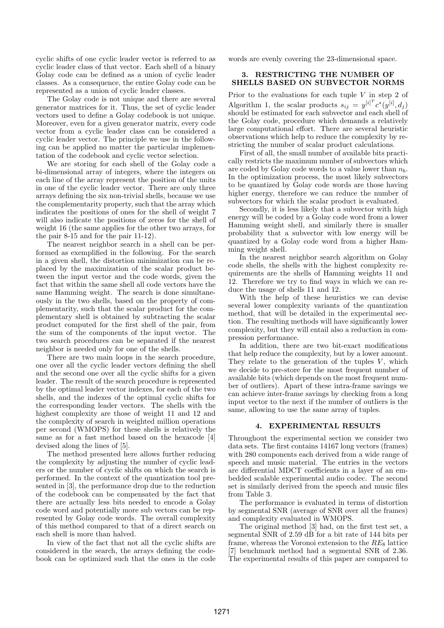cyclic shifts of one cyclic leader vector is referred to as cyclic leader class of that vector. Each shell of a binary Golay code can be defined as a union of cyclic leader classes. As a consequence, the entire Golay code can be represented as a union of cyclic leader classes.

The Golay code is not unique and there are several generator matrices for it. Thus, the set of cyclic leader vectors used to define a Golay codebook is not unique. Moreover, even for a given generator matrix, every code vector from a cyclic leader class can be considered a cyclic leader vector. The principle we use in the following can be applied no matter the particular implementation of the codebook and cyclic vector selection.

We are storing for each shell of the Golay code a bi-dimensional array of integers, where the integers on each line of the array represent the position of the units in one of the cyclic leader vector. There are only three arrays defining the six non-trivial shells, because we use the complementarity property, such that the array which indicates the positions of ones for the shell of weight 7 will also indicate the positions of zeros for the shell of weight 16 (the same applies for the other two arrays, for the pair 8-15 and for the pair 11-12).

The nearest neighbor search in a shell can be performed as exemplified in the following. For the search in a given shell, the distortion minimization can be replaced by the maximization of the scalar product between the input vector and the code words, given the fact that within the same shell all code vectors have the same Hamming weight. The search is done simultaneously in the two shells, based on the property of complementarity, such that the scalar product for the complementary shell is obtained by subtracting the scalar product computed for the first shell of the pair, from the sum of the components of the input vector. The two search procedures can be separated if the nearest neighbor is needed only for one of the shells.

There are two main loops in the search procedure, one over all the cyclic leader vectors defining the shell and the second one over all the cyclic shifts for a given leader. The result of the search procedure is represented by the optimal leader vector indexes, for each of the two shells, and the indexes of the optimal cyclic shifts for the corresponding leader vectors. The shells with the highest complexity are those of weight 11 and 12 and the complexity of search in weighted million operations per second (WMOPS) for these shells is relatively the same as for a fast method based on the hexacode [4] devised along the lines of [5].

The method presented here allows further reducing the complexity by adjusting the number of cyclic leaders or the number of cyclic shifts on which the search is performed. In the context of the quantization tool presented in [3], the performance drop due to the reduction of the codebook can be compensated by the fact that there are actually less bits needed to encode a Golay code word and potentially more sub vectors can be represented by Golay code words. The overall complexity of this method compared to that of a direct search on each shell is more than halved.

In view of the fact that not all the cyclic shifts are considered in the search, the arrays defining the codebook can be optimized such that the ones in the code words are evenly covering the 23-dimensional space.

### 3. RESTRICTING THE NUMBER OF SHELLS BASED ON SUBVECTOR NORMS

Prior to the evaluations for each tuple  $V$  in step 2 of Algorithm 1, the scalar products  $s_{ij} = y^{[i]^T} c^*(y^{[i]}, d_j)$ should be estimated for each subvector and each shell of the Golay code, procedure which demands a relatively large computational effort. There are several heuristic observations which help to reduce the complexity by restricting the number of scalar product calculations.

First of all, the small number of available bits practically restricts the maximum number of subvectors which are coded by Golay code words to a value lower than  $n_b$ . In the optimization process, the most likely subvectors to be quantized by Golay code words are those having higher energy, therefore we can reduce the number of subvectors for which the scalar product is evaluated.

Secondly, it is less likely that a subvector with high energy will be coded by a Golay code word from a lower Hamming weight shell, and similarly there is smaller probability that a subvector with low energy will be quantized by a Golay code word from a higher Hamming weight shell.

In the nearest neighbor search algorithm on Golay code shells, the shells with the highest complexity requirements are the shells of Hamming weights 11 and 12. Therefore we try to find ways in which we can reduce the usage of shells 11 and 12.

With the help of these heuristics we can devise several lower complexity variants of the quantization method, that will be detailed in the experimental section. The resulting methods will have significantly lower complexity, but they will entail also a reduction in compression performance.

In addition, there are two bit-exact modifications that help reduce the complexity, but by a lower amount. They relate to the generation of the tuples  $V$ , which we decide to pre-store for the most frequent number of available bits (which depends on the most frequent number of outliers). Apart of these intra-frame savings we can achieve inter-frame savings by checking from a long input vector to the next if the number of outliers is the same, allowing to use the same array of tuples.

#### 4. EXPERIMENTAL RESULTS

Throughout the experimental section we consider two data sets. The first contains 14167 long vectors (frames) with 280 components each derived from a wide range of speech and music material. The entries in the vectors are differential MDCT coefficients in a layer of an embedded scalable experimental audio codec. The second set is similarly derived from the speech and music files from Table 3.

The performance is evaluated in terms of distortion by segmental SNR (average of SNR over all the frames) and complexity evaluated in WMOPS.

The original method [3] had, on the first test set, a segmental SNR of 2.59 dB for a bit rate of 144 bits per frame, whereas the Voronoi extension to the  $RE_8$  lattice [7] benchmark method had a segmental SNR of 2.36. The experimental results of this paper are compared to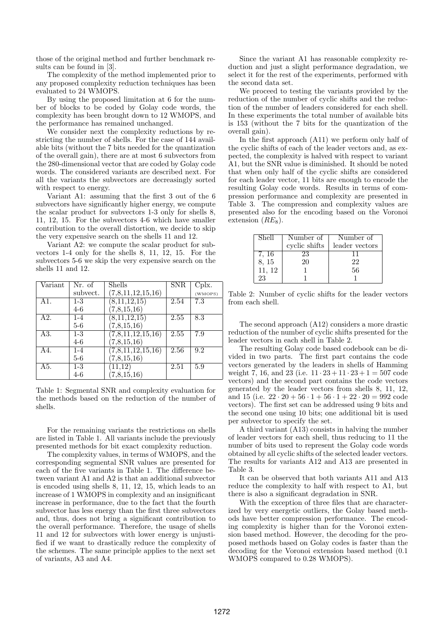those of the original method and further benchmark results can be found in [3].

The complexity of the method implemented prior to any proposed complexity reduction techniques has been evaluated to 24 WMOPS.

By using the proposed limitation at 6 for the number of blocks to be coded by Golay code words, the complexity has been brought down to 12 WMOPS, and the performance has remained unchanged.

We consider next the complexity reductions by restricting the number of shells. For the case of 144 available bits (without the 7 bits needed for the quantization of the overall gain), there are at most 6 subvectors from the 280-dimensional vector that are coded by Golay code words. The considered variants are described next. For all the variants the subvectors are decreasingly sorted with respect to energy.

Variant A1: assuming that the first 3 out of the 6 subvectors have significantly higher energy, we compute the scalar product for subvectors 1-3 only for shells 8, 11, 12, 15. For the subvectors 4-6 which have smaller contribution to the overall distortion, we decide to skip the very expensive search on the shells 11 and 12.

Variant A2: we compute the scalar product for subvectors 1-4 only for the shells 8, 11, 12, 15. For the subvectors 5-6 we skip the very expensive search on the shells 11 and 12.

| $\rm Variant$     | Nr. of           | Shells            | <b>SNR</b> | Cplx.   |
|-------------------|------------------|-------------------|------------|---------|
|                   | subvect.         | (7,8,11,12,15,16) |            | (WMOPS) |
| A1.               | $1-3$            | (8,11,12,15)      | 2.54       | 7.3     |
|                   | $4-6$            | 7,8,15,16         |            |         |
| A2.               | $1 - 4$          | (8,11,12,15)      | 2.55       | 8.3     |
|                   | $5-6$            | (7,8,15,16)       |            |         |
| $\overline{A3}$ . | $\overline{1-3}$ | (7,8,11,12,15,16) | 2.55       | 7.9     |
|                   | $4-6$            | (7,8,15,16)       |            |         |
| A4.               | $1 - 4$          | (7,8,11,12,15,16) | 2.56       | 9.2     |
|                   | 5-6              | (7,8,15,16)       |            |         |
| A5.               | $1-3$            | (11, 12)          | 2.51       | 5.9     |
|                   | $4-6$            | (7,8,15,16)       |            |         |

Table 1: Segmental SNR and complexity evaluation for the methods based on the reduction of the number of shells.

For the remaining variants the restrictions on shells are listed in Table 1. All variants include the previously presented methods for bit exact complexity reduction.

The complexity values, in terms of WMOPS, and the corresponding segmental SNR values are presented for each of the five variants in Table 1. The difference between variant A1 and A2 is that an additional subvector is encoded using shells 8, 11, 12, 15, which leads to an increase of 1 WMOPS in complexity and an insignificant increase in performance, due to the fact that the fourth subvector has less energy than the first three subvectors and, thus, does not bring a significant contribution to the overall performance. Therefore, the usage of shells 11 and 12 for subvectors with lower energy is unjustified if we want to drastically reduce the complexity of the schemes. The same principle applies to the next set of variants, A3 and A4.

Since the variant A1 has reasonable complexity reduction and just a slight performance degradation, we select it for the rest of the experiments, performed with the second data set.

We proceed to testing the variants provided by the reduction of the number of cyclic shifts and the reduction of the number of leaders considered for each shell. In these experiments the total number of available bits is 153 (without the 7 bits for the quantization of the overall gain).

In the first approach (A11) we perform only half of the cyclic shifts of each of the leader vectors and, as expected, the complexity is halved with respect to variant A1, but the SNR value is diminished. It should be noted that when only half of the cyclic shifts are considered for each leader vector, 11 bits are enough to encode the resulting Golay code words. Results in terms of compression performance and complexity are presented in Table 3. The compression and complexity values are presented also for the encoding based on the Voronoi extension  $(RE_8)$ .

| Shell  | Number of     | Number of      |
|--------|---------------|----------------|
|        | cyclic shifts | leader vectors |
| 7, 16  | 23            | 11             |
| 8, 15  | 20            | 22             |
| 11, 12 |               | 56             |
| 23     |               |                |

Table 2: Number of cyclic shifts for the leader vectors from each shell.

The second approach (A12) considers a more drastic reduction of the number of cyclic shifts presented for the leader vectors in each shell in Table 2.

The resulting Golay code based codebook can be divided in two parts. The first part contains the code vectors generated by the leaders in shells of Hamming weight 7, 16, and 23 (i.e.  $11 \cdot 23 + 11 \cdot 23 + 1 = 507$  code vectors) and the second part contains the code vectors generated by the leader vectors from shells 8, 11, 12, and 15 (i.e.  $22 \cdot 20 + 56 \cdot 1 + 56 \cdot 1 + 22 \cdot 20 = 992$  code vectors). The first set can be addressed using 9 bits and the second one using 10 bits; one additional bit is used per subvector to specify the set.

A third variant (A13) consists in halving the number of leader vectors for each shell, thus reducing to 11 the number of bits used to represent the Golay code words obtained by all cyclic shifts of the selected leader vectors. The results for variants A12 and A13 are presented in Table 3.

It can be observed that both variants A11 and A13 reduce the complexity to half with respect to A1, but there is also a significant degradation in SNR.

With the exception of three files that are characterized by very energetic outliers, the Golay based methods have better compression performance. The encoding complexity is higher than for the Voronoi extension based method. However, the decoding for the proposed methods based on Golay codes is faster than the decoding for the Voronoi extension based method (0.1 WMOPS compared to 0.28 WMOPS).